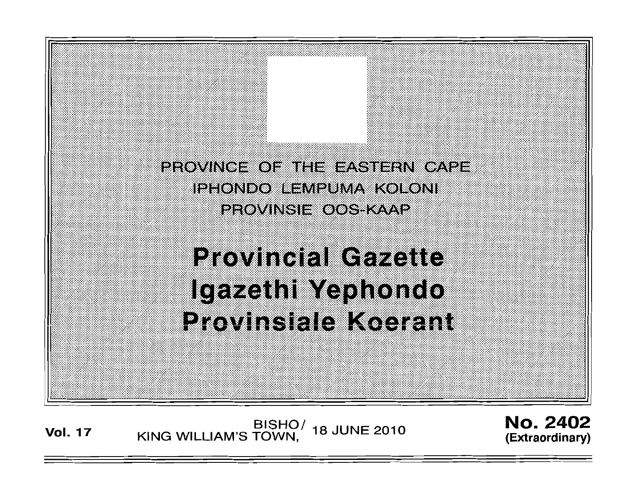PROVINCE OF THE EASTERN CAPE iphondo ervpuma kokoni PROVINSIE OOS KAAP

**Provincial Gazette** Igazethi Yephondo Provinsiale Koerant

BISHO/ 18 JUNE 2010<br>KING WILLIAM'S TOWN, **Vol. 17** 

**No. 2402** (Extraordinary)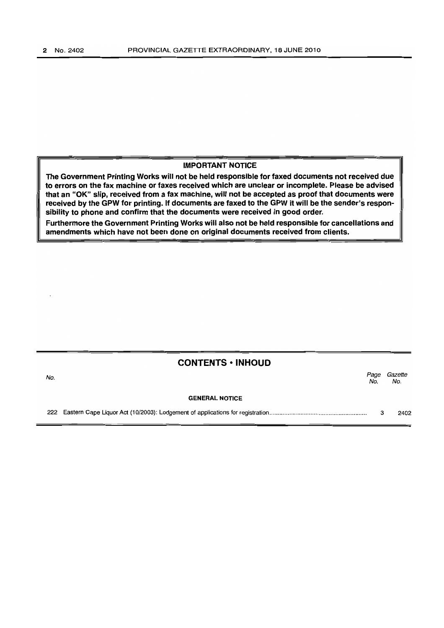## IMPORTANT NOTICE

The Government Printing Works will not be held responsible for faxed documents not received due to errors on the fax machine or faxes received which are unclear or incomplete. Please be advised that an "OK" slip, received from a fax machine, will not be accepted as proof that documents were received by the GPW for printing. If documents are faxed to the GPW it will be the sender's responsibility to phone and confirm that the documents were received in good order.

Furthermore the Government Printing Works will also not be held responsible for cancellations and amendments which have not been done on original documents received from clients.

|     | <b>CONTENTS · INHOUD</b> |             |                |  |
|-----|--------------------------|-------------|----------------|--|
| No. |                          | Page<br>No. | Gazette<br>No. |  |
|     | <b>GENERAL NOTICE</b>    |             |                |  |
|     |                          |             | 2402           |  |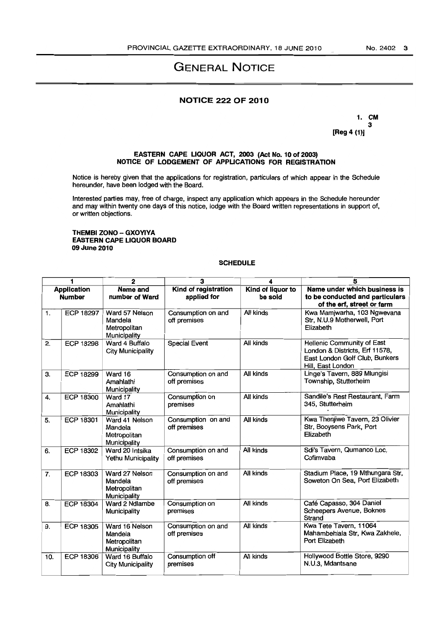# GENERAL NOTICE

## NOTICE 222 OF 2010

1. CM 3 [Reg 4 (1)]

#### EASTERN CAPE LIQUOR ACT, 2003 (Act No. 10 of 2003) NOTICE OF LODGEMENT OF APPLICATIONS FOR REGISTRATION

Notice is hereby given that the applications for registration, particulars of which appear in the Schedule hereunder, have been lodged with the Board.

Interested parties may, free of charge, inspect any application which appears in the Schedule hereunder and may within twenty one days of this notice, lodge with the Board written representations in support of, or written objections.

#### THEMBI ZONO - GXOYIYA EASTERN CAPE LIQUOR BOARD 09 June 2010

### **SCHEDULE**

| 1                                   |                  | $\mathbf{2}$                                              | 3                                   | 4                            | 5                                                                                                                   |  |
|-------------------------------------|------------------|-----------------------------------------------------------|-------------------------------------|------------------------------|---------------------------------------------------------------------------------------------------------------------|--|
| <b>Application</b><br><b>Number</b> |                  | Name and<br>number of Ward                                | Kind of registration<br>applied for | Kind of liquor to<br>be sold | Name under which business is<br>to be conducted and particulars<br>of the erf, street or farm                       |  |
| 1.                                  | ECP 18297        | Ward 57 Nelson<br>Mandela<br>Metropolitan<br>Municipality | Consumption on and<br>off premises  | All kinds                    | Kwa Mamjwarha, 103 Ngwevana<br>Str, N.U.9 Motherwell, Port<br>Elizabeth                                             |  |
| 2.                                  | ECP 18298        | Ward 4 Buffalo<br><b>City Municipality</b>                | <b>Special Event</b>                | All kinds                    | Hellenic Community of East<br>London & Districts, Erf 11578,<br>East London Golf Club, Bunkers<br>Hill, East London |  |
| З.                                  | ECP 18299        | Ward 16<br>Amahlathi<br>Municipality                      | Consumption on and<br>off premises  | All kinds                    | Linge's Tavern, 889 Mlungisi<br>Township, Stutterheim                                                               |  |
| 4.                                  | ECP 18300        | Ward 17<br>Amahlathi<br>Municipality                      | Consumption on<br>premises          | All kinds                    | Sandile's Rest Restaurant, Farm<br>345, Stutterheim                                                                 |  |
| 5.                                  | <b>ECP 18301</b> | Ward 41 Nelson<br>Mandela<br>Metropolitan<br>Municipality | Consumption on and<br>off premises  | All kinds                    | Kwa Thenjiwe Tavern, 23 Olivier<br>Str, Booysens Park, Port<br>Elizabeth                                            |  |
| 6.                                  | <b>ECP 18302</b> | Ward 20 Intsika<br>Yethu Municipality                     | Consumption on and<br>off premises  | All kinds                    | Sdi's Tavern, Qumanco Loc,<br>Cofimvaba                                                                             |  |
| 7.                                  | ECP 18303        | Ward 27 Nelson<br>Mandela<br>Metropolitan<br>Municipality | Consumption on and<br>off premises  | All kinds                    | Stadium Place, 19 Mthungara Str,<br>Soweton On Sea, Port Elizabeth                                                  |  |
| 8.                                  | ECP 18304        | Ward 2 Ndlambe<br>Municipality                            | Consumption on<br>premises          | All kinds                    | Café Capasso, 304 Daniel<br>Scheepers Avenue, Boknes<br>Strand                                                      |  |
| 9.                                  | <b>ECP 18305</b> | Ward 16 Nelson<br>Mandela<br>Metropolitan<br>Municipality | Consumption on and<br>off premises  | All kinds                    | Kwa Tete Tavern, 11064<br>Mahambehlala Str, Kwa Zakhele,<br>Port Elizabeth                                          |  |
| 10.                                 | <b>ECP 18306</b> | Ward 16 Buffalo<br><b>City Municipality</b>               | Consumption off<br>premises         | All kinds                    | Hollywood Bottle Store, 9290<br>N.U.3, Mdantsane                                                                    |  |